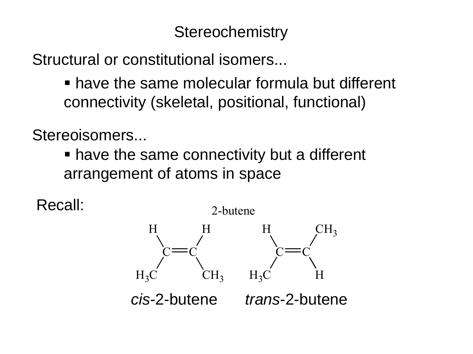# **Stereochemistry**

Structural or constitutional isomers...

 have the same molecular formula but different connectivity (skeletal, positional, functional)

Stereoisomers...

 have the same connectivity but a different arrangement of atoms in space

Recall:

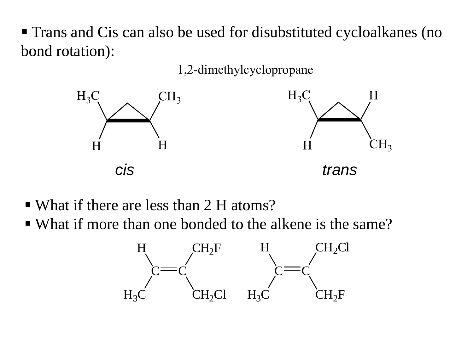Trans and Cis can also be used for disubstituted cycloalkanes (no bond rotation):

1,2-dimethylcyclopropane



- What if there are less than 2 H atoms?
- What if more than one bonded to the alkene is the same?

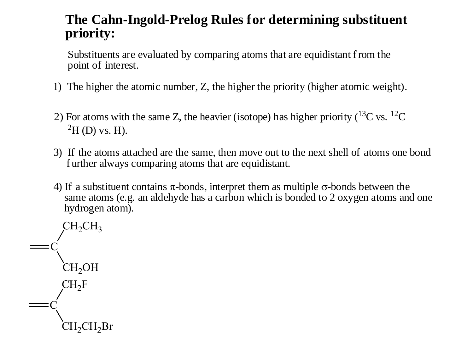# **The Cahn-Ingold-Prelog Rules for determining substituent priority:**

Substituents are evaluated by comparing atoms that are equidistant from the point of interest.

- 1) The higher the atomic number, Z, the higher the priority (higher atomic weight).
- 2) For atoms with the same Z, the heavier (isotope) has higher priority ( $^{13}$ C vs.  $^{12}$ C  ${}^{2}H$  (D) vs. H).
- 3) If the atoms attached are the same, then move out to the next shell of atoms one bond f urther always comparing atoms that are equidistant.
- 4) If a substituent contains  $\pi$ -bonds, interpret them as multiple  $\sigma$ -bonds between the same atoms (e.g. an aldehyde has a carbon which is bonded to 2 oxygen atoms and one hydrogen atom).

C  $CH_2CH_3$ CH<sub>2</sub>OH C  $CH_2F$  $CH_2CH_2Br$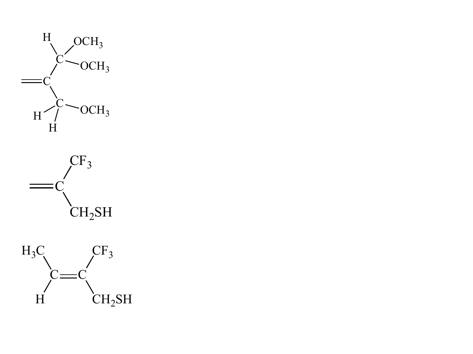



 $C = C$  $CF<sub>3</sub>$ H  $CH_2SH$  $H_3C$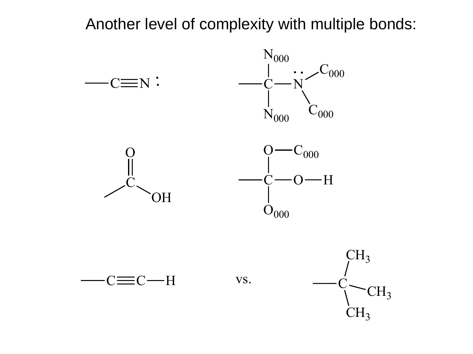Another level of complexity with multiple bonds:

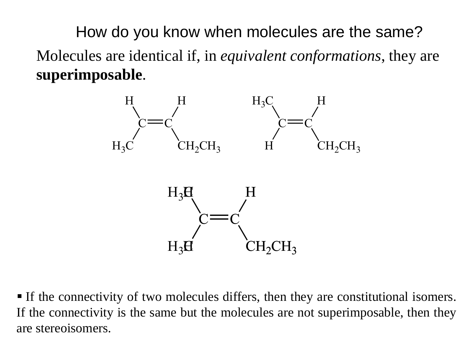How do you know when molecules are the same? Molecules are identical if, in *equivalent conformations*, they are **superimposable**.



 If the connectivity of two molecules differs, then they are constitutional isomers. If the connectivity is the same but the molecules are not superimposable, then they are stereoisomers.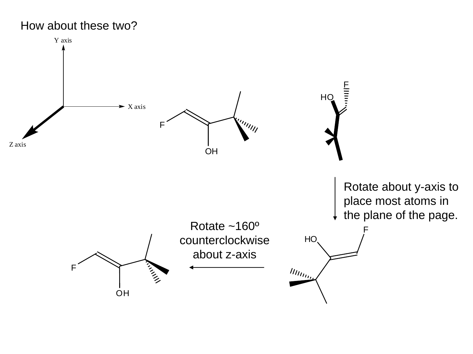### How about these two?

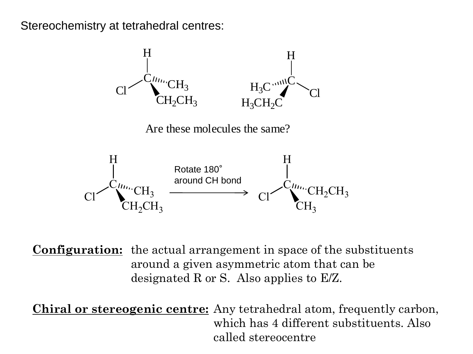Stereochemistry at tetrahedral centres:



**Configuration:** the actual arrangement in space of the substituents around a given asymmetric atom that can be designated R or S. Also applies to E/Z.

**Chiral or stereogenic centre:** Any tetrahedral atom, frequently carbon, which has 4 different substituents. Also called stereocentre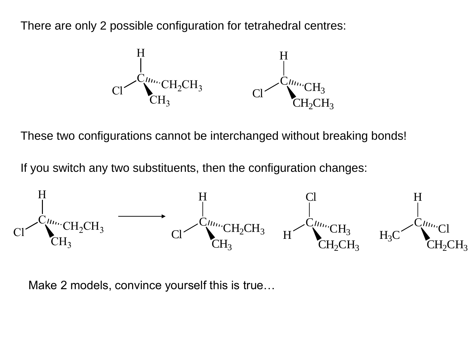There are only 2 possible configuration for tetrahedral centres:



These two configurations cannot be interchanged without breaking bonds!

If you switch any two substituents, then the configuration changes:



Make 2 models, convince yourself this is true…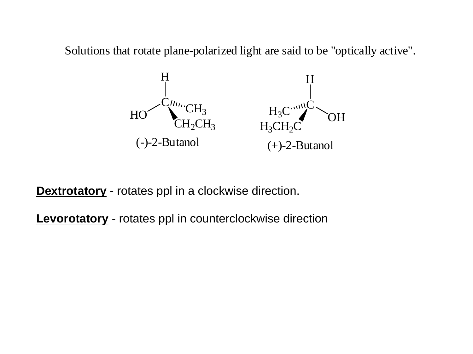Solutions that rotate plane-polarized light are said to be "optically active".



**Dextrotatory** - rotates ppl in a clockwise direction.

**Levorotatory** - rotates ppl in counterclockwise direction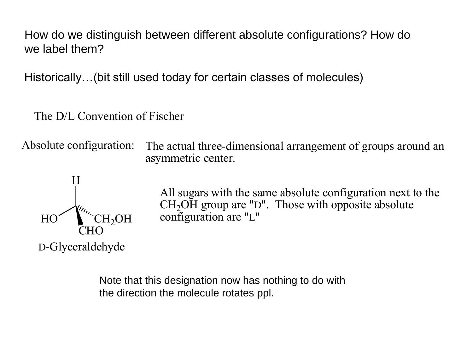How do we distinguish between different absolute configurations? How do we label them?

Historically…(bit still used today for certain classes of molecules)

The D/L Convention of Fischer

Absolute configuration: The actual three-dimensional arrangement of groups around an asymmetric center.



All sugars with the same absolute configuration next to the  $CH<sub>2</sub>OH$  group are "D". Those with opposite absolute configuration are "L"

Note that this designation now has nothing to do with the direction the molecule rotates ppl.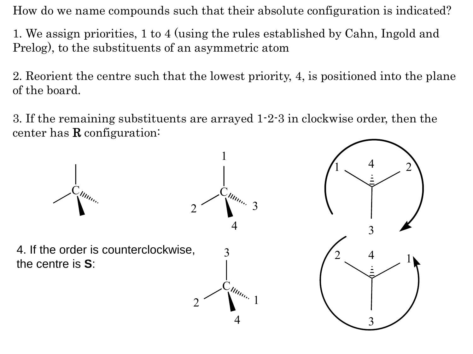How do we name compounds such that their absolute configuration is indicated?

1. We assign priorities, 1 to 4 (using the rules established by Cahn, Ingold and Prelog), to the substituents of an asymmetric atom

2. Reorient the centre such that the lowest priority, 4, is positioned into the plane of the board.

3. If the remaining substituents are arrayed 1-2-3 in clockwise order, then the center has R configuration:

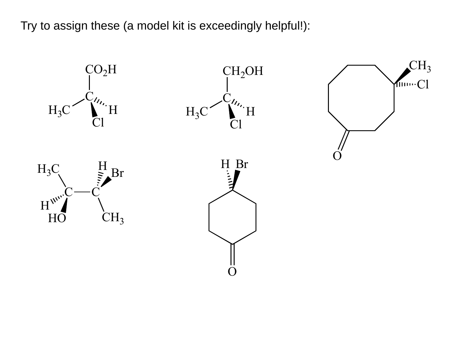Try to assign these (a model kit is exceedingly helpful!):

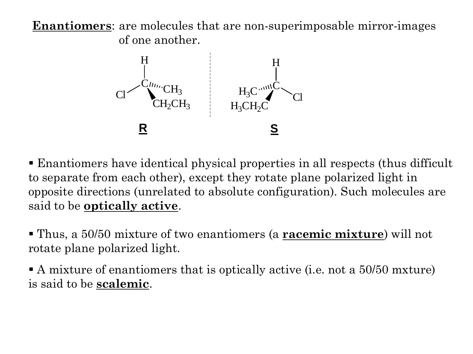**Enantiomers**: are molecules that are non-superimposable mirror-images of one another.



 Enantiomers have identical physical properties in all respects (thus difficult to separate from each other), except they rotate plane polarized light in opposite directions (unrelated to absolute configuration). Such molecules are said to be **optically active**.

 Thus, a 50/50 mixture of two enantiomers (a **racemic mixture**) will not rotate plane polarized light.

A mixture of enantiomers that is optically active (i.e. not a 50/50 mxture) is said to be **scalemic**.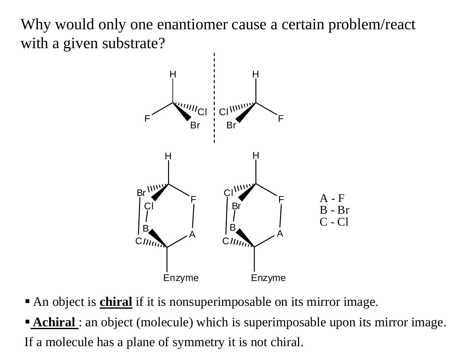Why would only one enantiomer cause a certain problem/react with a given substrate?



- An object is **chiral** if it is nonsuperimposable on its mirror image.
- **Achiral**: an object (molecule) which is superimposable upon its mirror image. If a molecule has a plane of symmetry it is not chiral.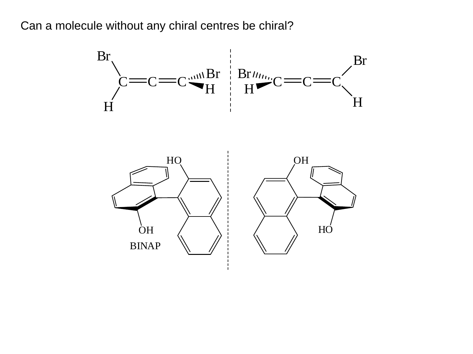Can a molecule without any chiral centres be chiral?

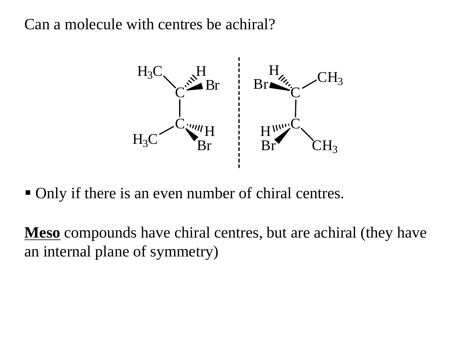Can a molecule with centres be achiral?



• Only if there is an even number of chiral centres.

**Meso** compounds have chiral centres, but are achiral (they have an internal plane of symmetry)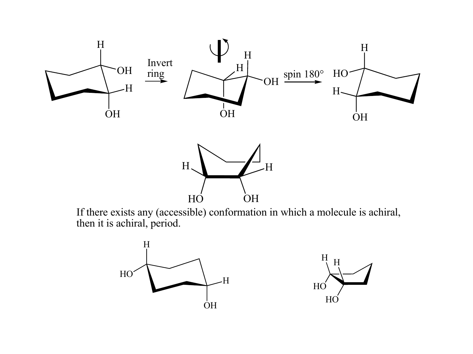

If there exists any (accessible) conformation in which a molecule is achiral, then it is achiral, period.

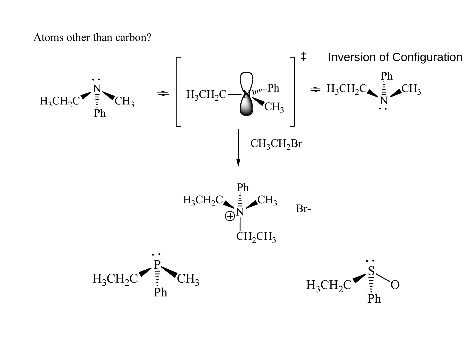Atoms other than carbon?

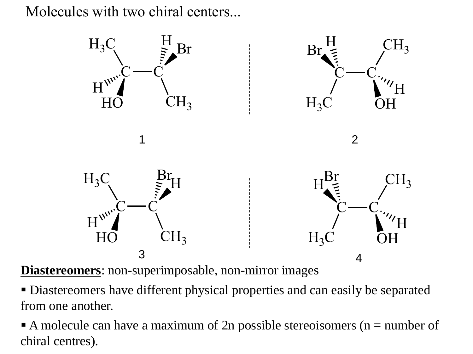Molecules with two chiral centers...



**Diastereomers**: non-superimposable, non-mirror images

 Diastereomers have different physical properties and can easily be separated from one another.

A molecule can have a maximum of 2n possible stereoisomers ( $n =$  number of chiral centres).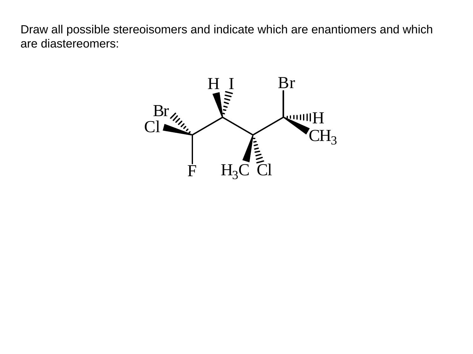Draw all possible stereoisomers and indicate which are enantiomers and which are diastereomers:

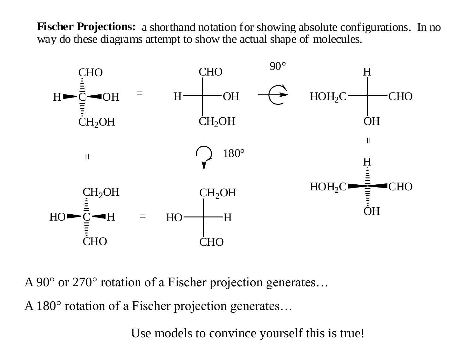**Fischer Projections:** a shorthand notation for showing absolute configurations. In no way do these diagrams attempt to show the actual shape of molecules.



A 90° or 270° rotation of a Fischer projection generates…

A 180° rotation of a Fischer projection generates…

Use models to convince yourself this is true!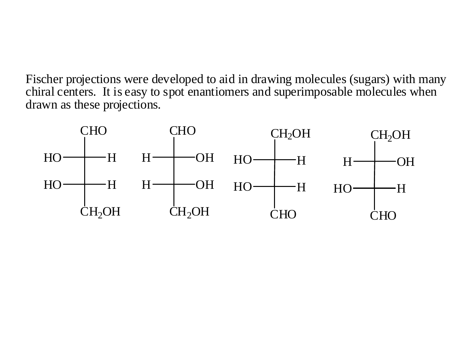Fischer projections were developed to aid in drawing molecules (sugars) with many chiral centers. It is easy to spot enantiomers and superimposable molecules when drawn as these projections.

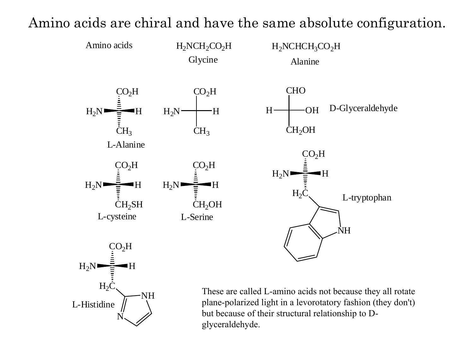

# Amino acids are chiral and have the same absolute configuration.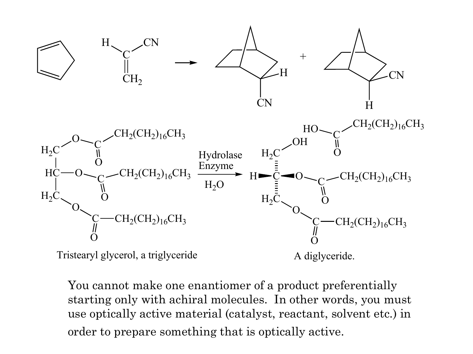

You cannot make one enantiomer of a product preferentially starting only with achiral molecules. In other words, you must use optically active material (catalyst, reactant, solvent etc.) in order to prepare something that is optically active.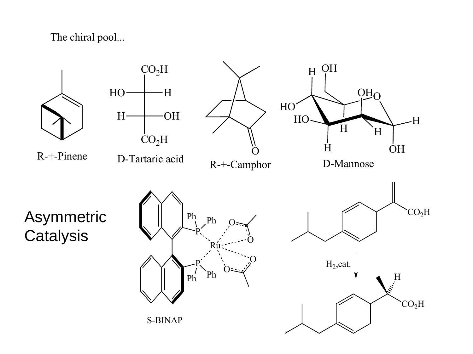The chiral pool...